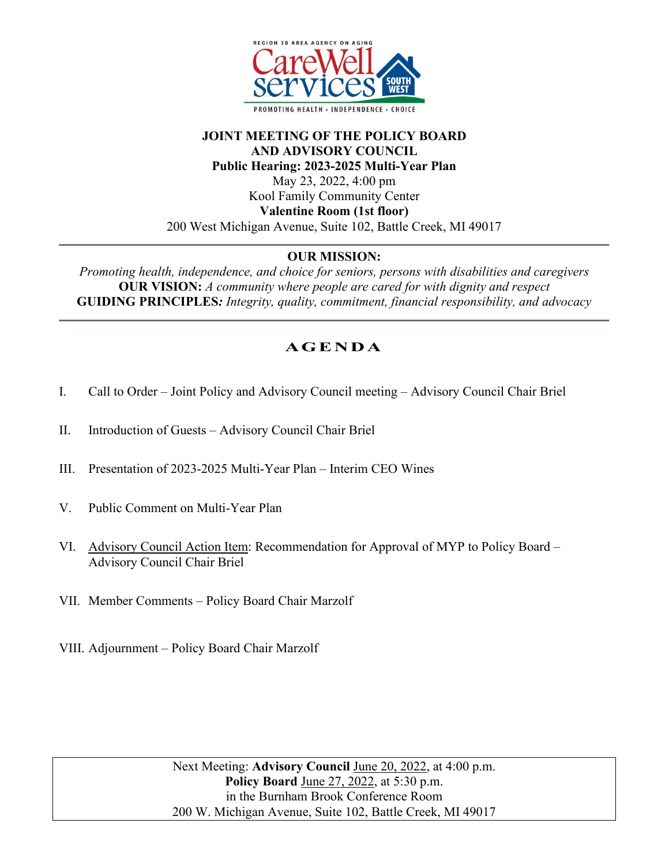

## **JOINT MEETING OF THE POLICY BOARD AND ADVISORY COUNCIL Public Hearing: 2023-2025 Multi-Year Plan** May 23, 2022, 4:00 pm Kool Family Community Center **Valentine Room (1st floor)** 200 West Michigan Avenue, Suite 102, Battle Creek, MI 49017

## **OUR MISSION:**

*Promoting health, independence, and choice for seniors, persons with disabilities and caregivers* **OUR VISION:** *A community where people are cared for with dignity and respect*  **GUIDING PRINCIPLES***: Integrity, quality, commitment, financial responsibility, and advocacy*

## **AGENDA**

- I. Call to Order Joint Policy and Advisory Council meeting Advisory Council Chair Briel
- II. Introduction of Guests Advisory Council Chair Briel
- III. Presentation of 2023-2025 Multi-Year Plan Interim CEO Wines
- V. Public Comment on Multi-Year Plan
- VI. Advisory Council Action Item: Recommendation for Approval of MYP to Policy Board Advisory Council Chair Briel
- VII. Member Comments Policy Board Chair Marzolf
- VIII. Adjournment Policy Board Chair Marzolf

Next Meeting: **Advisory Council** June 20, 2022, at 4:00 p.m. **Policy Board** June 27, 2022, at 5:30 p.m. in the Burnham Brook Conference Room 200 W. Michigan Avenue, Suite 102, Battle Creek, MI 49017